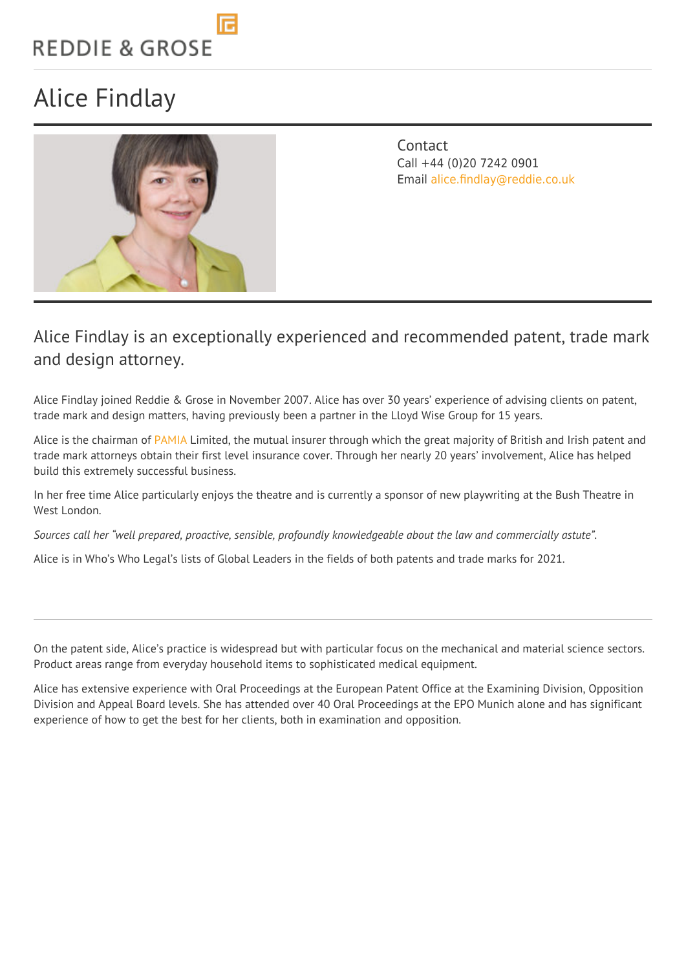# **REDDIE & GROSE**

## Alice Findlay



**Contact** Call +44 (0)20 7242 0901 Email [alice.findlay@reddie.co.uk](mailto:alice.findlay@reddie.co.uk)

#### Alice Findlay is an exceptionally experienced and recommended patent, trade mark and design attorney.

Alice Findlay joined Reddie & Grose in November 2007. Alice has over 30 years' experience of advising clients on patent, trade mark and design matters, having previously been a partner in the Lloyd Wise Group for 15 years.

Alice is the chairman of [PAMIA](https://www.pamia.co.uk/) Limited, the mutual insurer through which the great majority of British and Irish patent and trade mark attorneys obtain their first level insurance cover. Through her nearly 20 years' involvement, Alice has helped build this extremely successful business.

In her free time Alice particularly enjoys the theatre and is currently a sponsor of new playwriting at the Bush Theatre in West London.

*Sources call her "well prepared, proactive, sensible, profoundly knowledgeable about the law and commercially astute".*

Alice is in Who's Who Legal's lists of Global Leaders in the fields of both patents and trade marks for 2021.

On the patent side, Alice's practice is widespread but with particular focus on the mechanical and material science sectors. Product areas range from everyday household items to sophisticated medical equipment.

Alice has extensive experience with Oral Proceedings at the European Patent Office at the Examining Division, Opposition Division and Appeal Board levels. She has attended over 40 Oral Proceedings at the EPO Munich alone and has significant experience of how to get the best for her clients, both in examination and opposition.